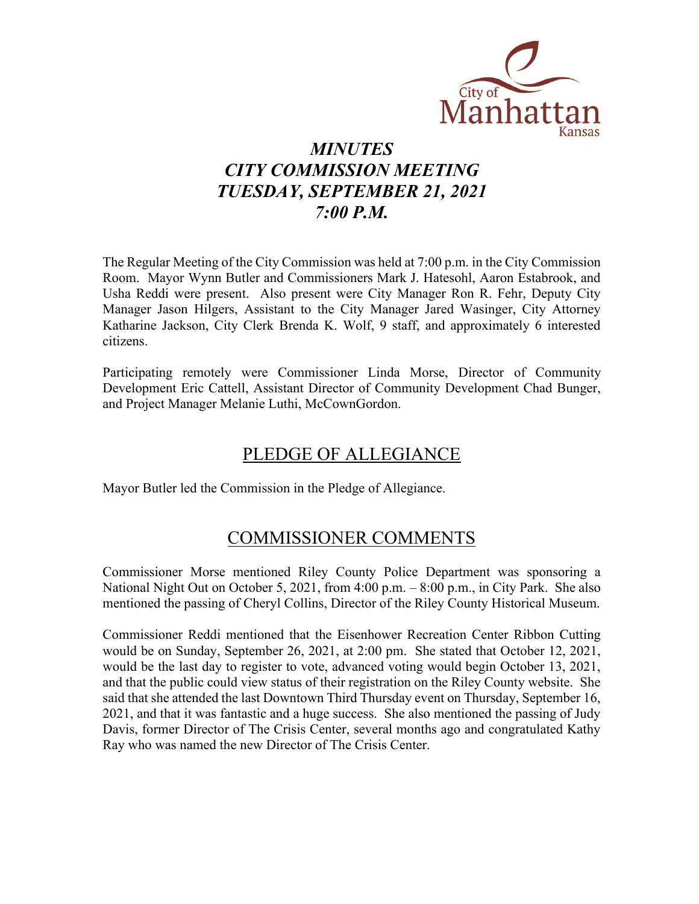

# *MINUTES CITY COMMISSION MEETING TUESDAY, SEPTEMBER 21, 2021 7:00 P.M.*

The Regular Meeting of the City Commission was held at 7:00 p.m. in the City Commission Room. Mayor Wynn Butler and Commissioners Mark J. Hatesohl, Aaron Estabrook, and Usha Reddi were present. Also present were City Manager Ron R. Fehr, Deputy City Manager Jason Hilgers, Assistant to the City Manager Jared Wasinger, City Attorney Katharine Jackson, City Clerk Brenda K. Wolf, 9 staff, and approximately 6 interested citizens.

Participating remotely were Commissioner Linda Morse, Director of Community Development Eric Cattell, Assistant Director of Community Development Chad Bunger, and Project Manager Melanie Luthi, McCownGordon.

## PLEDGE OF ALLEGIANCE

Mayor Butler led the Commission in the Pledge of Allegiance.

## COMMISSIONER COMMENTS

Commissioner Morse mentioned Riley County Police Department was sponsoring a National Night Out on October 5, 2021, from 4:00 p.m. – 8:00 p.m., in City Park. She also mentioned the passing of Cheryl Collins, Director of the Riley County Historical Museum.

Commissioner Reddi mentioned that the Eisenhower Recreation Center Ribbon Cutting would be on Sunday, September 26, 2021, at 2:00 pm. She stated that October 12, 2021, would be the last day to register to vote, advanced voting would begin October 13, 2021, and that the public could view status of their registration on the Riley County website. She said that she attended the last Downtown Third Thursday event on Thursday, September 16, 2021, and that it was fantastic and a huge success. She also mentioned the passing of Judy Davis, former Director of The Crisis Center, several months ago and congratulated Kathy Ray who was named the new Director of The Crisis Center.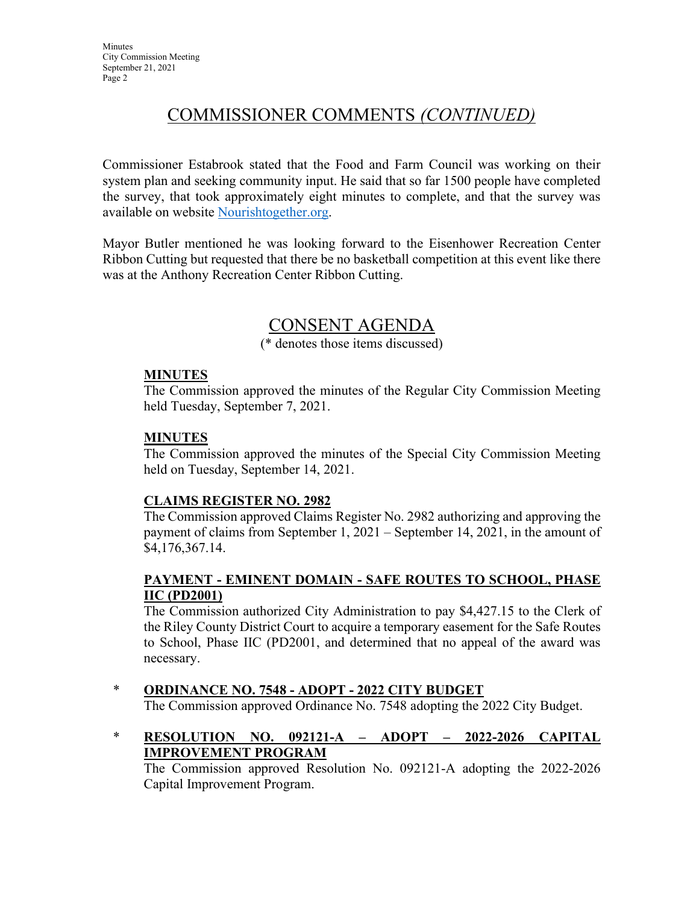# COMMISSIONER COMMENTS *(CONTINUED)*

Commissioner Estabrook stated that the Food and Farm Council was working on their system plan and seeking community input. He said that so far 1500 people have completed the survey, that took approximately eight minutes to complete, and that the survey was available on website [Nourishtogether.org.](https://nourishtogether.org/)

Mayor Butler mentioned he was looking forward to the Eisenhower Recreation Center Ribbon Cutting but requested that there be no basketball competition at this event like there was at the Anthony Recreation Center Ribbon Cutting.

## CONSENT AGENDA

(\* denotes those items discussed)

#### **MINUTES**

The Commission approved the minutes of the Regular City Commission Meeting held Tuesday, September 7, 2021.

#### **MINUTES**

The Commission approved the minutes of the Special City Commission Meeting held on Tuesday, September 14, 2021.

#### **CLAIMS REGISTER NO. 2982**

The Commission approved Claims Register No. 2982 authorizing and approving the payment of claims from September 1, 2021 – September 14, 2021, in the amount of \$4,176,367.14.

## **PAYMENT - EMINENT DOMAIN - SAFE ROUTES TO SCHOOL, PHASE IIC (PD2001)**

The Commission authorized City Administration to pay \$4,427.15 to the Clerk of the Riley County District Court to acquire a temporary easement for the Safe Routes to School, Phase IIC (PD2001, and determined that no appeal of the award was necessary.

## \* **ORDINANCE NO. 7548 - ADOPT - 2022 CITY BUDGET**

The Commission approved Ordinance No. 7548 adopting the 2022 City Budget.

\* **RESOLUTION NO. 092121-A – ADOPT – 2022-2026 CAPITAL IMPROVEMENT PROGRAM**

The Commission approved Resolution No. 092121-A adopting the 2022-2026 Capital Improvement Program.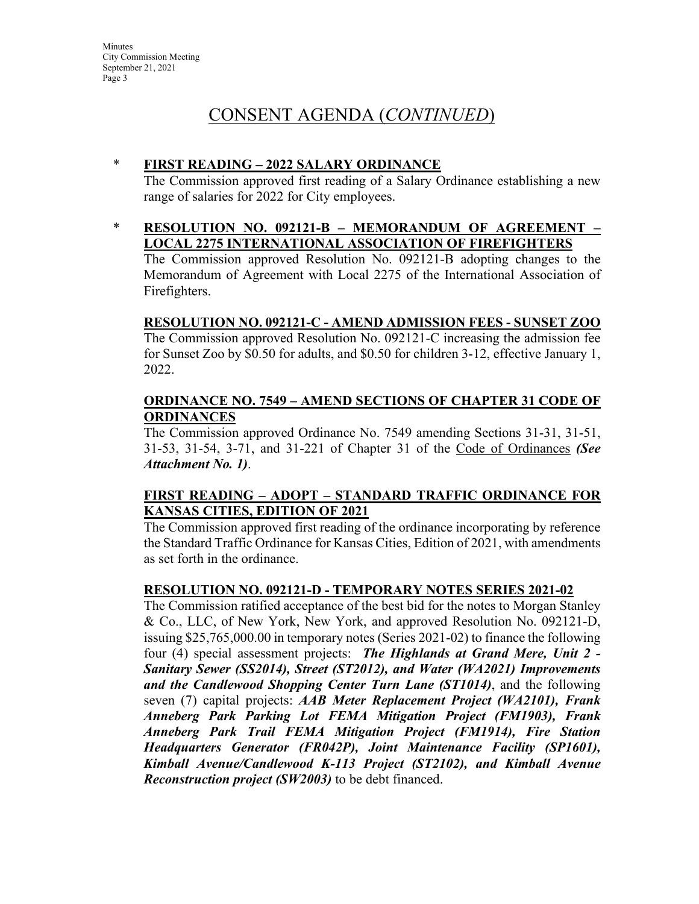#### \* **FIRST READING – 2022 SALARY ORDINANCE**

The Commission approved first reading of a Salary Ordinance establishing a new range of salaries for 2022 for City employees.

\* **RESOLUTION NO. 092121-B – MEMORANDUM OF AGREEMENT – LOCAL 2275 INTERNATIONAL ASSOCIATION OF FIREFIGHTERS**

The Commission approved Resolution No. 092121-B adopting changes to the Memorandum of Agreement with Local 2275 of the International Association of Firefighters.

## **RESOLUTION NO. 092121-C - AMEND ADMISSION FEES - SUNSET ZOO**

The Commission approved [Resolution No. 092121-C](https://manhattanks.sharepoint.com/:b:/s/CommissionPacket/ESXmPdT1r9tEhM0UJsQ_wAwBFozgJxF0ZlmP3gl4Uwv23w?e=9jOFx8) increasing the admission fee for Sunset Zoo by \$0.50 for adults, and \$0.50 for children 3-12, effective January 1, 2022.

#### **ORDINANCE NO. 7549 – AMEND SECTIONS OF CHAPTER 31 CODE OF ORDINANCES**

The Commission approved Ordinance No. 7549 amending Sections 31-31, 31-51, 31-53, 31-54, 3-71, and 31-221 of Chapter 31 of the Code of Ordinances *(See Attachment No. 1)*.

## **FIRST READING – ADOPT – STANDARD TRAFFIC ORDINANCE FOR KANSAS CITIES, EDITION OF 2021**

The Commission approved first reading of the ordinance incorporating by reference the Standard Traffic Ordinance for Kansas Cities, Edition of 2021, with amendments as set forth in the ordinance.

#### **RESOLUTION NO. 092121-D - TEMPORARY NOTES SERIES 2021-02**

The Commission ratified acceptance of the best bid for the notes to Morgan Stanley & Co., LLC, of New York, New York, and approved Resolution No. 092121-D, issuing \$25,765,000.00 in temporary notes (Series 2021-02) to finance the following four (4) special assessment projects: *The Highlands at Grand Mere, Unit 2 - Sanitary Sewer (SS2014), Street (ST2012), and Water (WA2021) Improvements and the Candlewood Shopping Center Turn Lane (ST1014)*, and the following seven (7) capital projects: *AAB Meter Replacement Project (WA2101), Frank Anneberg Park Parking Lot FEMA Mitigation Project (FM1903), Frank Anneberg Park Trail FEMA Mitigation Project (FM1914), Fire Station Headquarters Generator (FR042P), Joint Maintenance Facility (SP1601), Kimball Avenue/Candlewood K-113 Project (ST2102), and Kimball Avenue Reconstruction project (SW2003)* to be debt financed.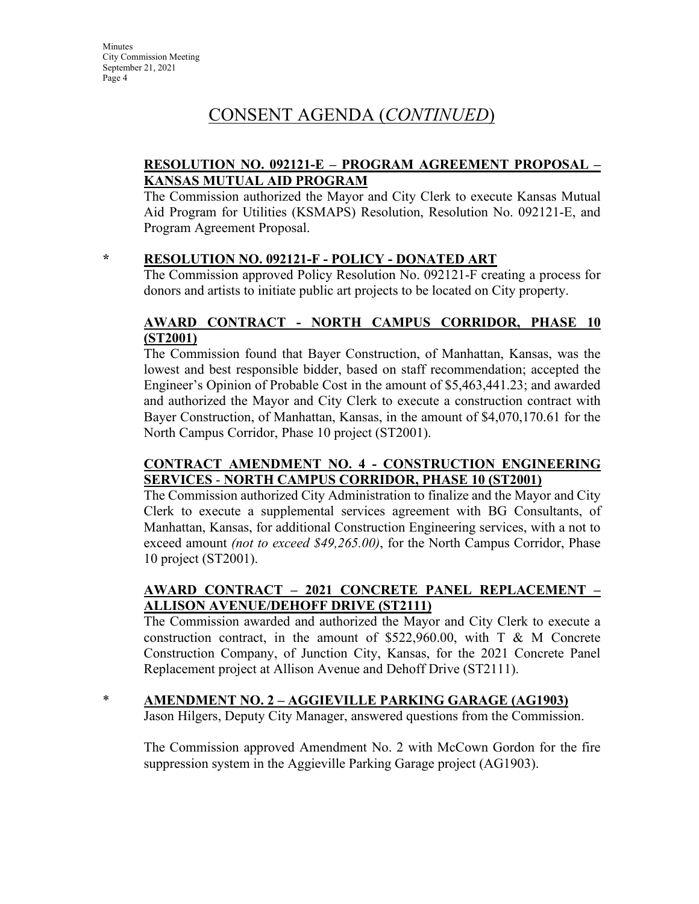## **RESOLUTION NO. 092121-E – PROGRAM AGREEMENT PROPOSAL – KANSAS MUTUAL AID PROGRAM**

The Commission authorized the Mayor and City Clerk to execute Kansas Mutual Aid Program for Utilities (KSMAPS) Resolution, Resolution No. 092121-E, and Program Agreement Proposal.

## **\* RESOLUTION NO. 092121-F - POLICY - DONATED ART**

The Commission approved Policy Resolution No. 092121-F creating a process for donors and artists to initiate public art projects to be located on City property.

## **AWARD CONTRACT - NORTH CAMPUS CORRIDOR, PHASE 10 (ST2001)**

The Commission found that Bayer Construction, of Manhattan, Kansas, was the lowest and best responsible bidder, based on staff recommendation; accepted the Engineer's Opinion of Probable Cost in the amount of \$5,463,441.23; and awarded and authorized the Mayor and City Clerk to execute a construction contract with Bayer Construction, of Manhattan, Kansas, in the amount of \$4,070,170.61 for the North Campus Corridor, Phase 10 project (ST2001).

## **CONTRACT AMENDMENT NO. 4 - CONSTRUCTION ENGINEERING SERVICES** - **NORTH CAMPUS CORRIDOR, PHASE 10 (ST2001)**

The Commission authorized City Administration to finalize and the Mayor and City Clerk to execute a supplemental services agreement with BG Consultants, of Manhattan, Kansas, for additional Construction Engineering services, with a not to exceed amount *(not to exceed \$49,265.00)*, for the North Campus Corridor, Phase 10 project (ST2001).

## **AWARD CONTRACT – 2021 CONCRETE PANEL REPLACEMENT – ALLISON AVENUE/DEHOFF DRIVE (ST2111)**

The Commission awarded and authorized the Mayor and City Clerk to execute a construction contract, in the amount of  $$522,960.00$ , with T & M Concrete Construction Company, of Junction City, Kansas, for the 2021 Concrete Panel Replacement project at Allison Avenue and Dehoff Drive (ST2111).

## \* **AMENDMENT NO. 2 – AGGIEVILLE PARKING GARAGE (AG1903)**

Jason Hilgers, Deputy City Manager, answered questions from the Commission.

The Commission approved Amendment No. 2 with McCown Gordon for the fire suppression system in the Aggieville Parking Garage project (AG1903).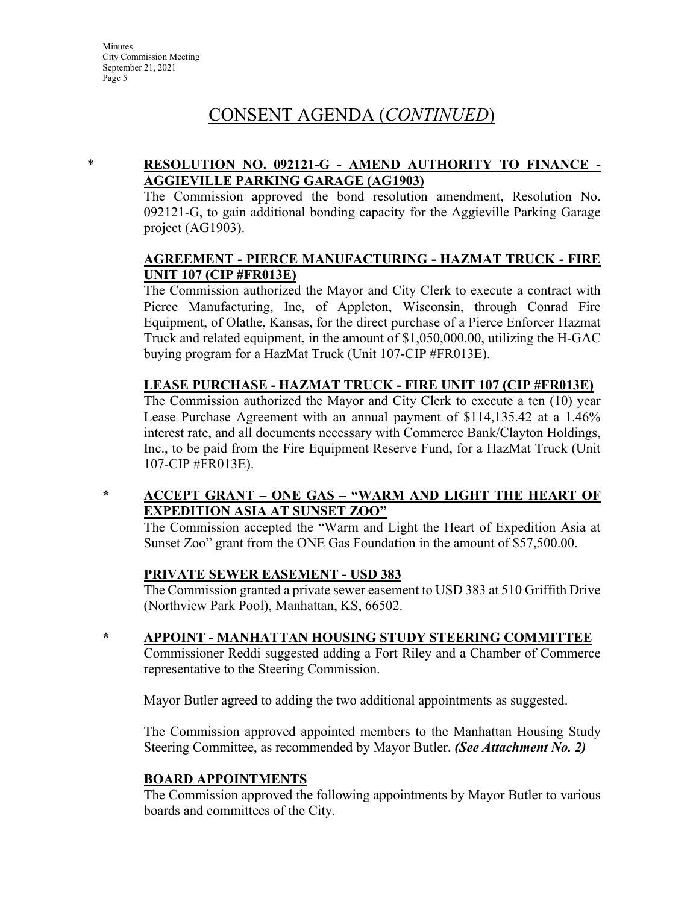## \* **RESOLUTION NO. 092121-G - AMEND AUTHORITY TO FINANCE - AGGIEVILLE PARKING GARAGE (AG1903)**

The Commission approved the bond resolution amendment, Resolution No. 092121-G, to gain additional bonding capacity for the Aggieville Parking Garage project (AG1903).

#### **AGREEMENT - PIERCE MANUFACTURING - HAZMAT TRUCK - FIRE UNIT 107 (CIP #FR013E)**

The Commission authorized the Mayor and City Clerk to execute a contract with Pierce Manufacturing, Inc, of Appleton, Wisconsin, through Conrad Fire Equipment, of Olathe, Kansas, for the direct purchase of a Pierce Enforcer Hazmat Truck and related equipment, in the amount of \$1,050,000.00, utilizing the H-GAC buying program for a HazMat Truck (Unit 107-CIP #FR013E).

#### **LEASE PURCHASE - HAZMAT TRUCK - FIRE UNIT 107 (CIP #FR013E)**

The Commission authorized the Mayor and City Clerk to execute a ten (10) year Lease Purchase Agreement with an annual payment of \$114,135.42 at a 1.46% interest rate, and all documents necessary with Commerce Bank/Clayton Holdings, Inc., to be paid from the Fire Equipment Reserve Fund, for a HazMat Truck (Unit 107-CIP #FR013E).

#### **\* ACCEPT GRANT – ONE GAS – "WARM AND LIGHT THE HEART OF EXPEDITION ASIA AT SUNSET ZOO"**

The Commission accepted the "Warm and Light the Heart of Expedition Asia at Sunset Zoo" grant from the ONE Gas Foundation in the amount of \$57,500.00.

#### **PRIVATE SEWER EASEMENT - USD 383**

The Commission granted a private sewer easement to USD 383 at 510 Griffith Drive (Northview Park Pool), Manhattan, KS, 66502.

**\* APPOINT - MANHATTAN HOUSING STUDY STEERING COMMITTEE**

Commissioner Reddi suggested adding a Fort Riley and a Chamber of Commerce representative to the Steering Commission.

Mayor Butler agreed to adding the two additional appointments as suggested.

The Commission approved appointed members to the Manhattan Housing Study Steering Committee, as recommended by Mayor Butler. *(See Attachment No. 2)*

#### **BOARD APPOINTMENTS**

The Commission approved the following appointments by Mayor Butler to various boards and committees of the City.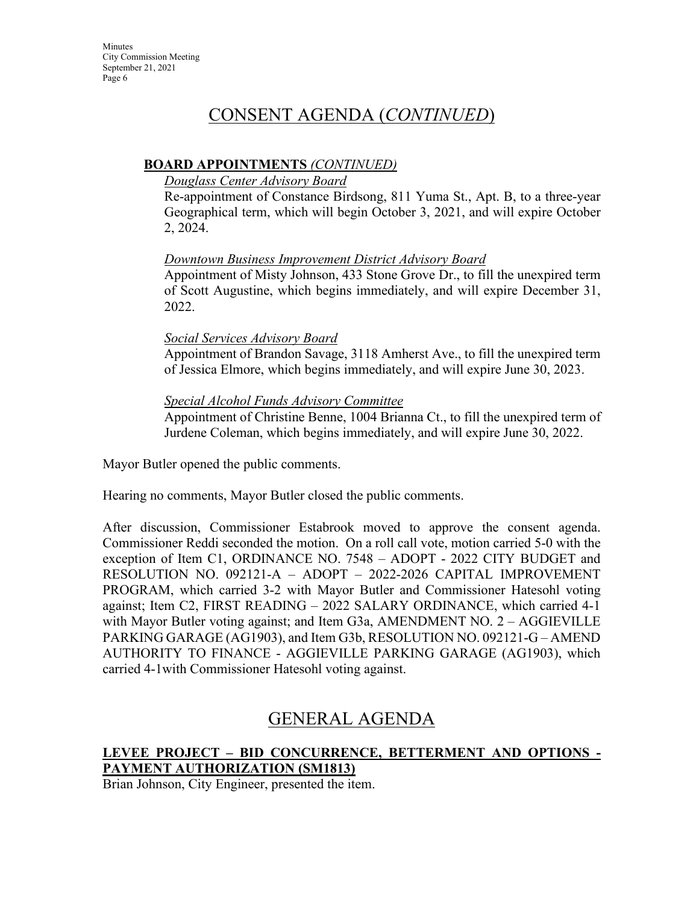#### **BOARD APPOINTMENTS** *(CONTINUED)*

#### *Douglass Center Advisory Board*

Re-appointment of Constance Birdsong, 811 Yuma St., Apt. B, to a three-year Geographical term, which will begin October 3, 2021, and will expire October 2, 2024.

## *Downtown Business Improvement District Advisory Board*

Appointment of Misty Johnson, 433 Stone Grove Dr., to fill the unexpired term of Scott Augustine, which begins immediately, and will expire December 31, 2022.

#### *Social Services Advisory Board*

Appointment of Brandon Savage, 3118 Amherst Ave., to fill the unexpired term of Jessica Elmore, which begins immediately, and will expire June 30, 2023.

## *Special Alcohol Funds Advisory Committee*

Appointment of Christine Benne, 1004 Brianna Ct., to fill the unexpired term of Jurdene Coleman, which begins immediately, and will expire June 30, 2022.

Mayor Butler opened the public comments.

Hearing no comments, Mayor Butler closed the public comments.

After discussion, Commissioner Estabrook moved to approve the consent agenda. Commissioner Reddi seconded the motion. On a roll call vote, motion carried 5-0 with the exception of Item C1, ORDINANCE NO. 7548 – ADOPT - 2022 CITY BUDGET and RESOLUTION NO. 092121-A – ADOPT – 2022-2026 CAPITAL IMPROVEMENT PROGRAM, which carried 3-2 with Mayor Butler and Commissioner Hatesohl voting against; Item C2, FIRST READING – 2022 SALARY ORDINANCE, which carried 4-1 with Mayor Butler voting against; and Item G3a, AMENDMENT NO. 2 – AGGIEVILLE PARKING GARAGE (AG1903), and Item G3b, RESOLUTION NO. 092121-G – AMEND AUTHORITY TO FINANCE - AGGIEVILLE PARKING GARAGE (AG1903), which carried 4-1with Commissioner Hatesohl voting against.

## GENERAL AGENDA

## **LEVEE PROJECT – BID CONCURRENCE, BETTERMENT AND OPTIONS - PAYMENT AUTHORIZATION (SM1813)**

Brian Johnson, City Engineer, presented the item.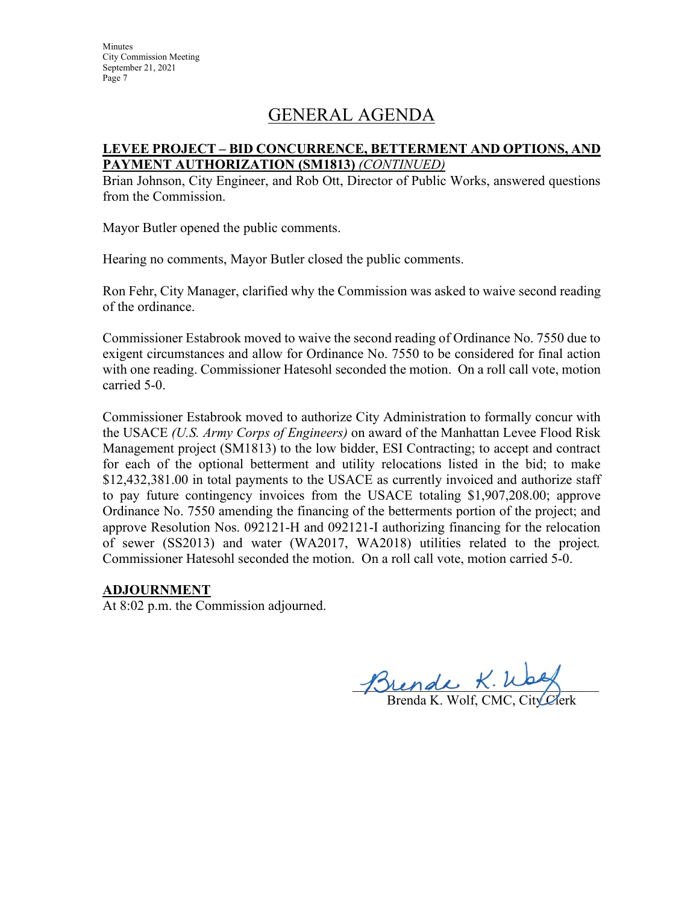# GENERAL AGENDA

#### **LEVEE PROJECT – BID CONCURRENCE, BETTERMENT AND OPTIONS, AND PAYMENT AUTHORIZATION (SM1813)** *(CONTINUED)*

Brian Johnson, City Engineer, and Rob Ott, Director of Public Works, answered questions from the Commission.

Mayor Butler opened the public comments.

Hearing no comments, Mayor Butler closed the public comments.

Ron Fehr, City Manager, clarified why the Commission was asked to waive second reading of the ordinance.

Commissioner Estabrook moved to waive the second reading of Ordinance No. 7550 due to exigent circumstances and allow for Ordinance No. 7550 to be considered for final action with one reading. Commissioner Hatesohl seconded the motion. On a roll call vote, motion carried 5-0.

Commissioner Estabrook moved to authorize City Administration to formally concur with the USACE *(U.S. Army Corps of Engineers)* on award of the Manhattan Levee Flood Risk Management project (SM1813) to the low bidder, ESI Contracting; to accept and contract for each of the optional betterment and utility relocations listed in the bid; to make \$12,432,381.00 in total payments to the USACE as currently invoiced and authorize staff to pay future contingency invoices from the USACE totaling \$1,907,208.00; approve Ordinance No. 7550 amending the financing of the betterments portion of the project; and approve Resolution Nos. 092121-H and 092121-I authorizing financing for the relocation of sewer (SS2013) and water (WA2017, WA2018) utilities related to the project*.* Commissioner Hatesohl seconded the motion. On a roll call vote, motion carried 5-0.

#### **ADJOURNMENT**

At 8:02 p.m. the Commission adjourned.

 $m$ ende  $x.$  Weg

Brenda K. Wolf, CMC, City Clerk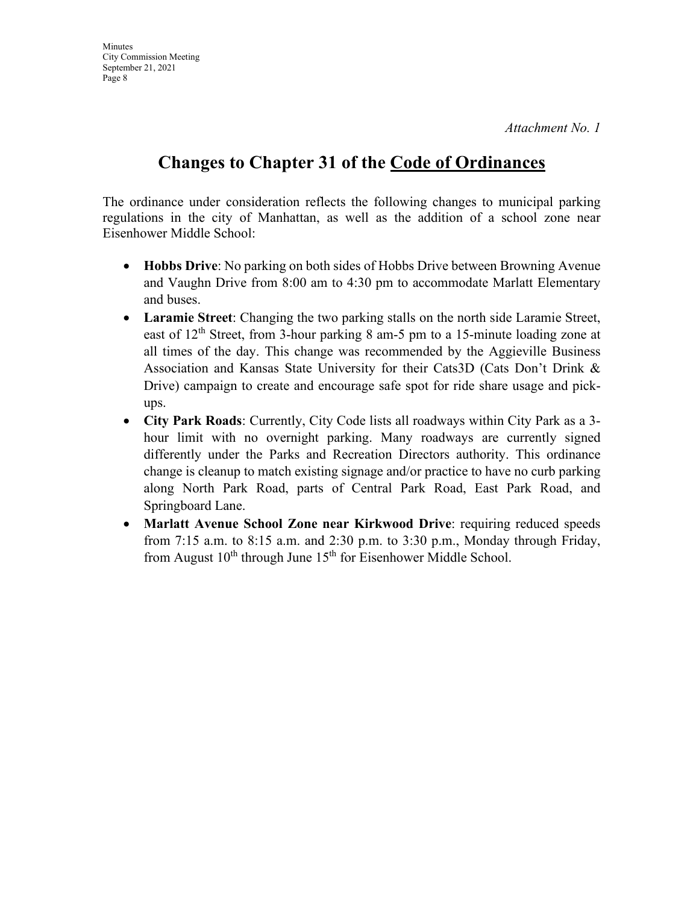*Attachment No. 1*

## **Changes to Chapter 31 of the Code of Ordinances**

The ordinance under consideration reflects the following changes to municipal parking regulations in the city of Manhattan, as well as the addition of a school zone near Eisenhower Middle School:

- **Hobbs Drive**: No parking on both sides of Hobbs Drive between Browning Avenue and Vaughn Drive from 8:00 am to 4:30 pm to accommodate Marlatt Elementary and buses.
- **Laramie Street**: Changing the two parking stalls on the north side Laramie Street, east of  $12<sup>th</sup>$  Street, from 3-hour parking 8 am-5 pm to a 15-minute loading zone at all times of the day. This change was recommended by the Aggieville Business Association and Kansas State University for their Cats3D (Cats Don't Drink & Drive) campaign to create and encourage safe spot for ride share usage and pickups.
- **City Park Roads**: Currently, City Code lists all roadways within City Park as a 3 hour limit with no overnight parking. Many roadways are currently signed differently under the Parks and Recreation Directors authority. This ordinance change is cleanup to match existing signage and/or practice to have no curb parking along North Park Road, parts of Central Park Road, East Park Road, and Springboard Lane.
- **Marlatt Avenue School Zone near Kirkwood Drive**: requiring reduced speeds from 7:15 a.m. to 8:15 a.m. and 2:30 p.m. to 3:30 p.m., Monday through Friday, from August  $10^{th}$  through June  $15^{th}$  for Eisenhower Middle School.